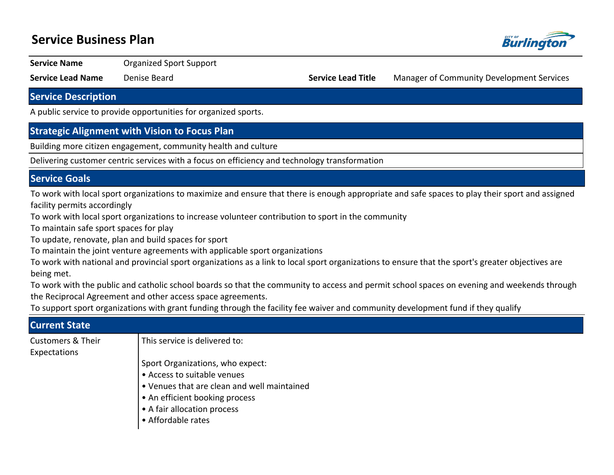# **Service Business Plan**



**Service Name Organized Sport Support** 

**Service Lead Name** Denise Beard **Service Lead Title** Manager of Community Development Services

**Service Description**

A public service to provide opportunities for organized sports.

#### **Strategic Alignment with Vision to Focus Plan**

Building more citizen engagement, community health and culture

Delivering customer centric services with a focus on efficiency and technology transformation

### **Service Goals**

To work with local sport organizations to maximize and ensure that there is enough appropriate and safe spaces to play their sport and assigned facility permits accordingly

To work with local sport organizations to increase volunteer contribution to sport in the community

To maintain safe sport spaces for play

To update, renovate, plan and build spaces for sport

To maintain the joint venture agreements with applicable sport organizations

To work with national and provincial sport organizations as a link to local sport organizations to ensure that the sport's greater objectives are being met.

To work with the public and catholic school boards so that the community to access and permit school spaces on evening and weekends through the Reciprocal Agreement and other access space agreements.

To support sport organizations with grant funding through the facility fee waiver and community development fund if they qualify

| <b>Current State</b>                         |                                                                                                                                                                                                       |  |  |  |  |  |  |
|----------------------------------------------|-------------------------------------------------------------------------------------------------------------------------------------------------------------------------------------------------------|--|--|--|--|--|--|
| <b>Customers &amp; Their</b><br>Expectations | This service is delivered to:                                                                                                                                                                         |  |  |  |  |  |  |
|                                              | Sport Organizations, who expect:<br>• Access to suitable venues<br>• Venues that are clean and well maintained<br>• An efficient booking process<br>• A fair allocation process<br>• Affordable rates |  |  |  |  |  |  |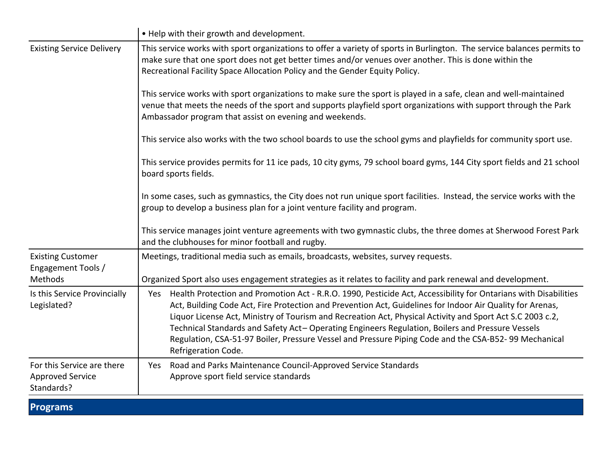|                                                                     | • Help with their growth and development.                                                                                                                                                                                                                                                                                                                                                                                                                                                                                                                                          |  |  |  |  |  |  |
|---------------------------------------------------------------------|------------------------------------------------------------------------------------------------------------------------------------------------------------------------------------------------------------------------------------------------------------------------------------------------------------------------------------------------------------------------------------------------------------------------------------------------------------------------------------------------------------------------------------------------------------------------------------|--|--|--|--|--|--|
| <b>Existing Service Delivery</b>                                    | This service works with sport organizations to offer a variety of sports in Burlington. The service balances permits to<br>make sure that one sport does not get better times and/or venues over another. This is done within the<br>Recreational Facility Space Allocation Policy and the Gender Equity Policy.                                                                                                                                                                                                                                                                   |  |  |  |  |  |  |
|                                                                     | This service works with sport organizations to make sure the sport is played in a safe, clean and well-maintained<br>venue that meets the needs of the sport and supports playfield sport organizations with support through the Park<br>Ambassador program that assist on evening and weekends.                                                                                                                                                                                                                                                                                   |  |  |  |  |  |  |
|                                                                     | This service also works with the two school boards to use the school gyms and playfields for community sport use.                                                                                                                                                                                                                                                                                                                                                                                                                                                                  |  |  |  |  |  |  |
|                                                                     | This service provides permits for 11 ice pads, 10 city gyms, 79 school board gyms, 144 City sport fields and 21 school<br>board sports fields.                                                                                                                                                                                                                                                                                                                                                                                                                                     |  |  |  |  |  |  |
|                                                                     | In some cases, such as gymnastics, the City does not run unique sport facilities. Instead, the service works with the<br>group to develop a business plan for a joint venture facility and program.                                                                                                                                                                                                                                                                                                                                                                                |  |  |  |  |  |  |
|                                                                     | This service manages joint venture agreements with two gymnastic clubs, the three domes at Sherwood Forest Park<br>and the clubhouses for minor football and rugby.                                                                                                                                                                                                                                                                                                                                                                                                                |  |  |  |  |  |  |
| <b>Existing Customer</b><br>Engagement Tools /                      | Meetings, traditional media such as emails, broadcasts, websites, survey requests.                                                                                                                                                                                                                                                                                                                                                                                                                                                                                                 |  |  |  |  |  |  |
| Methods                                                             | Organized Sport also uses engagement strategies as it relates to facility and park renewal and development.                                                                                                                                                                                                                                                                                                                                                                                                                                                                        |  |  |  |  |  |  |
| Is this Service Provincially<br>Legislated?                         | Health Protection and Promotion Act - R.R.O. 1990, Pesticide Act, Accessibility for Ontarians with Disabilities<br>Yes<br>Act, Building Code Act, Fire Protection and Prevention Act, Guidelines for Indoor Air Quality for Arenas,<br>Liquor License Act, Ministry of Tourism and Recreation Act, Physical Activity and Sport Act S.C 2003 c.2,<br>Technical Standards and Safety Act-Operating Engineers Regulation, Boilers and Pressure Vessels<br>Regulation, CSA-51-97 Boiler, Pressure Vessel and Pressure Piping Code and the CSA-B52-99 Mechanical<br>Refrigeration Code. |  |  |  |  |  |  |
| For this Service are there<br><b>Approved Service</b><br>Standards? | Yes Road and Parks Maintenance Council-Approved Service Standards<br>Approve sport field service standards                                                                                                                                                                                                                                                                                                                                                                                                                                                                         |  |  |  |  |  |  |

# **Programs**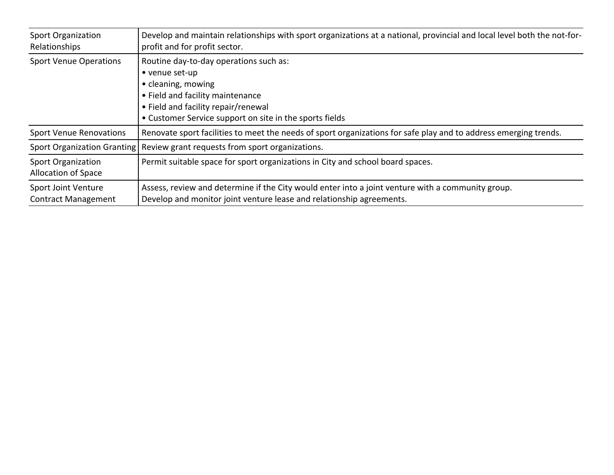| <b>Sport Organization</b><br>Relationships               | Develop and maintain relationships with sport organizations at a national, provincial and local level both the not-for-<br>profit and for profit sector.                                                             |  |  |  |  |
|----------------------------------------------------------|----------------------------------------------------------------------------------------------------------------------------------------------------------------------------------------------------------------------|--|--|--|--|
| <b>Sport Venue Operations</b>                            | Routine day-to-day operations such as:<br>• venue set-up<br>• cleaning, mowing<br>• Field and facility maintenance<br>• Field and facility repair/renewal<br>• Customer Service support on site in the sports fields |  |  |  |  |
| <b>Sport Venue Renovations</b>                           | Renovate sport facilities to meet the needs of sport organizations for safe play and to address emerging trends.                                                                                                     |  |  |  |  |
| Sport Organization Granting                              | Review grant requests from sport organizations.                                                                                                                                                                      |  |  |  |  |
| <b>Sport Organization</b><br>Allocation of Space         | Permit suitable space for sport organizations in City and school board spaces.                                                                                                                                       |  |  |  |  |
| <b>Sport Joint Venture</b><br><b>Contract Management</b> | Assess, review and determine if the City would enter into a joint venture with a community group.<br>Develop and monitor joint venture lease and relationship agreements.                                            |  |  |  |  |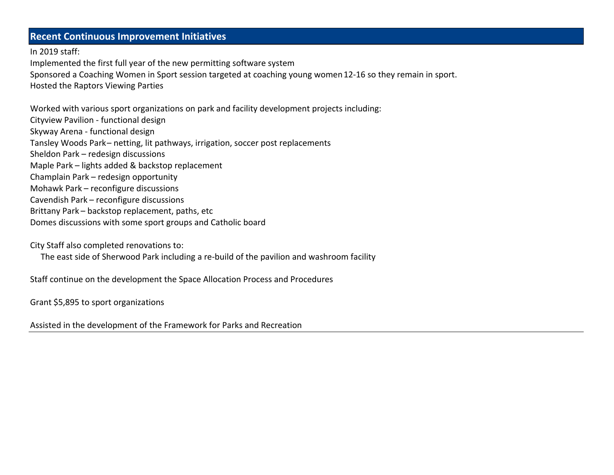## **Recent Continuous Improvement Initiatives**

In 2019 staff:

Implemented the first full year of the new permitting software system Sponsored a Coaching Women in Sport session targeted at coaching young women 12-16 so they remain in sport. Hosted the Raptors Viewing Parties

Worked with various sport organizations on park and facility development projects including: Cityview Pavilion - functional design Skyway Arena - functional design Tansley Woods Park - netting, lit pathways, irrigation, soccer post replacements Sheldon Park - redesign discussions Maple Park – lights added & backstop replacement Champlain Park - redesign opportunity Mohawk Park - reconfigure discussions Cavendish Park - reconfigure discussions Brittany Park - backstop replacement, paths, etc Domes discussions with some sport groups and Catholic board

City Staff also completed renovations to:

The east side of Sherwood Park including a re-build of the pavilion and washroom facility

Staff continue on the development the Space Allocation Process and Procedures

Grant \$5,895 to sport organizations

Assisted in the development of the Framework for Parks and Recreation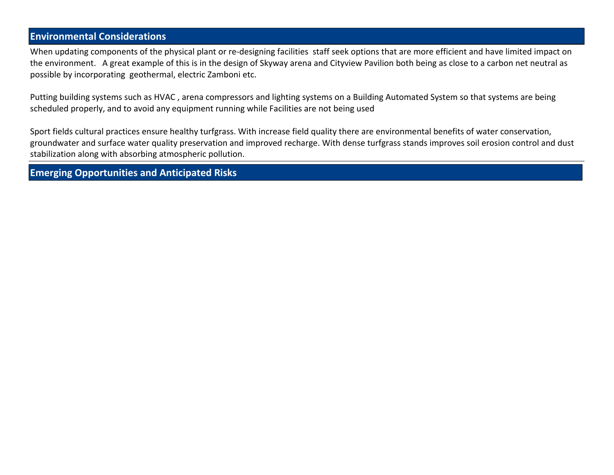## **Environmental Considerations**

When updating components of the physical plant or re-designing facilities staff seek options that are more efficient and have limited impact on the environment. A great example of this is in the design of Skyway arena and Cityview Pavilion both being as close to a carbon net neutral as possible by incorporating geothermal, electric Zamboni etc.

Putting building systems such as HVAC , arena compressors and lighting systems on a Building Automated System so that systems are being scheduled properly, and to avoid any equipment running while Facilities are not being used

Sport fields cultural practices ensure healthy turfgrass. With increase field quality there are environmental benefits of water conservation, groundwater and surface water quality preservation and improved recharge. With dense turfgrass stands improves soil erosion control and dust stabilization along with absorbing atmospheric pollution.

**Emerging Opportunities and Anticipated Risks**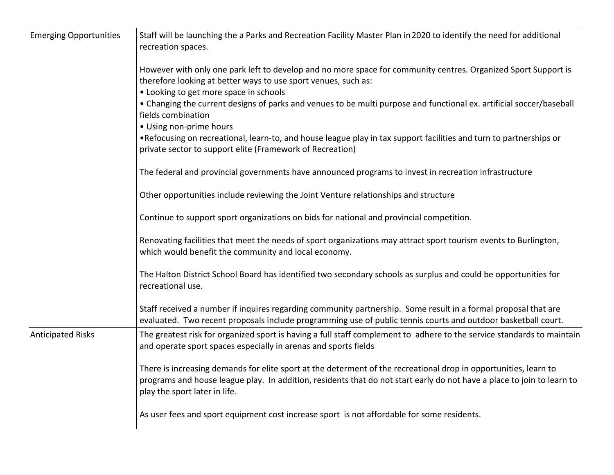| <b>Emerging Opportunities</b> | Staff will be launching the a Parks and Recreation Facility Master Plan in 2020 to identify the need for additional<br>recreation spaces.                                                                                                                                                                                                          |  |  |  |  |  |  |  |
|-------------------------------|----------------------------------------------------------------------------------------------------------------------------------------------------------------------------------------------------------------------------------------------------------------------------------------------------------------------------------------------------|--|--|--|--|--|--|--|
|                               | However with only one park left to develop and no more space for community centres. Organized Sport Support is<br>therefore looking at better ways to use sport venues, such as:<br>• Looking to get more space in schools<br>• Changing the current designs of parks and venues to be multi purpose and functional ex. artificial soccer/baseball |  |  |  |  |  |  |  |
|                               | fields combination<br>• Using non-prime hours                                                                                                                                                                                                                                                                                                      |  |  |  |  |  |  |  |
|                               | •Refocusing on recreational, learn-to, and house league play in tax support facilities and turn to partnerships or<br>private sector to support elite (Framework of Recreation)                                                                                                                                                                    |  |  |  |  |  |  |  |
|                               | The federal and provincial governments have announced programs to invest in recreation infrastructure                                                                                                                                                                                                                                              |  |  |  |  |  |  |  |
|                               | Other opportunities include reviewing the Joint Venture relationships and structure                                                                                                                                                                                                                                                                |  |  |  |  |  |  |  |
|                               | Continue to support sport organizations on bids for national and provincial competition.                                                                                                                                                                                                                                                           |  |  |  |  |  |  |  |
|                               | Renovating facilities that meet the needs of sport organizations may attract sport tourism events to Burlington,<br>which would benefit the community and local economy.                                                                                                                                                                           |  |  |  |  |  |  |  |
|                               | The Halton District School Board has identified two secondary schools as surplus and could be opportunities for<br>recreational use.                                                                                                                                                                                                               |  |  |  |  |  |  |  |
|                               | Staff received a number if inquires regarding community partnership. Some result in a formal proposal that are<br>evaluated. Two recent proposals include programming use of public tennis courts and outdoor basketball court.                                                                                                                    |  |  |  |  |  |  |  |
| <b>Anticipated Risks</b>      | The greatest risk for organized sport is having a full staff complement to adhere to the service standards to maintain<br>and operate sport spaces especially in arenas and sports fields                                                                                                                                                          |  |  |  |  |  |  |  |
|                               | There is increasing demands for elite sport at the determent of the recreational drop in opportunities, learn to<br>programs and house league play. In addition, residents that do not start early do not have a place to join to learn to<br>play the sport later in life.                                                                        |  |  |  |  |  |  |  |
|                               | As user fees and sport equipment cost increase sport is not affordable for some residents.                                                                                                                                                                                                                                                         |  |  |  |  |  |  |  |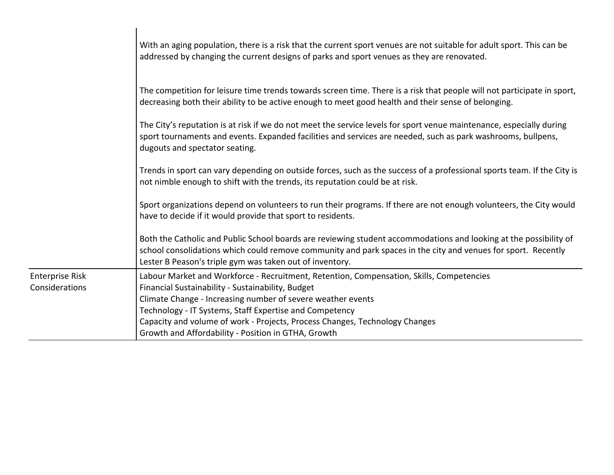|                                          | With an aging population, there is a risk that the current sport venues are not suitable for adult sport. This can be<br>addressed by changing the current designs of parks and sport venues as they are renovated.                                                                                                                                                                                           |
|------------------------------------------|---------------------------------------------------------------------------------------------------------------------------------------------------------------------------------------------------------------------------------------------------------------------------------------------------------------------------------------------------------------------------------------------------------------|
|                                          | The competition for leisure time trends towards screen time. There is a risk that people will not participate in sport,<br>decreasing both their ability to be active enough to meet good health and their sense of belonging.                                                                                                                                                                                |
|                                          | The City's reputation is at risk if we do not meet the service levels for sport venue maintenance, especially during<br>sport tournaments and events. Expanded facilities and services are needed, such as park washrooms, bullpens,<br>dugouts and spectator seating.                                                                                                                                        |
|                                          | Trends in sport can vary depending on outside forces, such as the success of a professional sports team. If the City is<br>not nimble enough to shift with the trends, its reputation could be at risk.                                                                                                                                                                                                       |
|                                          | Sport organizations depend on volunteers to run their programs. If there are not enough volunteers, the City would<br>have to decide if it would provide that sport to residents.                                                                                                                                                                                                                             |
|                                          | Both the Catholic and Public School boards are reviewing student accommodations and looking at the possibility of<br>school consolidations which could remove community and park spaces in the city and venues for sport. Recently<br>Lester B Peason's triple gym was taken out of inventory.                                                                                                                |
| <b>Enterprise Risk</b><br>Considerations | Labour Market and Workforce - Recruitment, Retention, Compensation, Skills, Competencies<br>Financial Sustainability - Sustainability, Budget<br>Climate Change - Increasing number of severe weather events<br>Technology - IT Systems, Staff Expertise and Competency<br>Capacity and volume of work - Projects, Process Changes, Technology Changes<br>Growth and Affordability - Position in GTHA, Growth |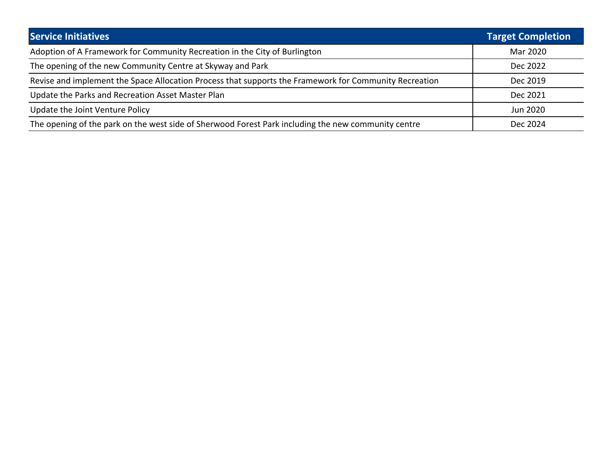| <b>Service Initiatives</b>                                                                             | <b>Target Completion</b> |  |  |
|--------------------------------------------------------------------------------------------------------|--------------------------|--|--|
| Adoption of A Framework for Community Recreation in the City of Burlington                             | Mar 2020                 |  |  |
| The opening of the new Community Centre at Skyway and Park                                             | Dec 2022                 |  |  |
| Revise and implement the Space Allocation Process that supports the Framework for Community Recreation | Dec 2019                 |  |  |
| Update the Parks and Recreation Asset Master Plan                                                      | Dec 2021                 |  |  |
| Update the Joint Venture Policy                                                                        | Jun 2020                 |  |  |
| The opening of the park on the west side of Sherwood Forest Park including the new community centre    | Dec 2024                 |  |  |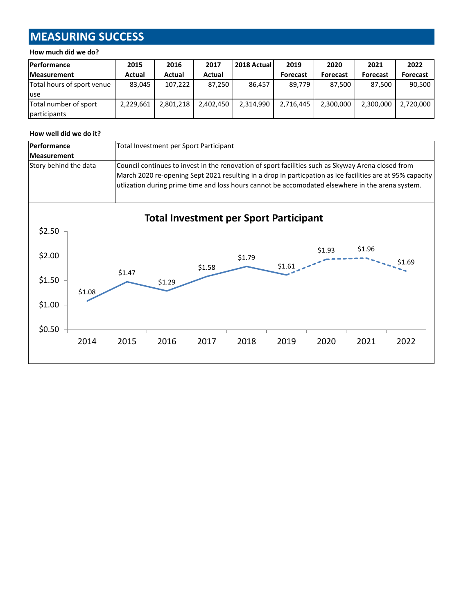# **MEASURING SUCCESS**

#### **How much did we do?**

| <b>Performance</b>         | 2015      | 2016      | 2017      | 2018 Actual | 2019            | 2020            | 2021            | 2022            |
|----------------------------|-----------|-----------|-----------|-------------|-----------------|-----------------|-----------------|-----------------|
| <b>Measurement</b>         | Actual    | Actual    | Actual    |             | <b>Forecast</b> | <b>Forecast</b> | <b>Forecast</b> | <b>Forecast</b> |
| Total hours of sport venue | 83.045    | 107,222   | 87.250    | 86.457      | 89,779          | 87.500          | 87.500          | 90,500          |
| luse                       |           |           |           |             |                 |                 |                 |                 |
| Total number of sport      | 2,229,661 | 2,801,218 | 2,402,450 | 2,314,990   | 2,716,445       | 2,300,000       | 2,300,000       | 2,720,000       |
| participants               |           |           |           |             |                 |                 |                 |                 |

#### **How well did we do it?**

| Performance                          |        | Total Investment per Sport Participant                                                                                                                                                                                                                                                                              |        |                                               |        |        |        |        |        |
|--------------------------------------|--------|---------------------------------------------------------------------------------------------------------------------------------------------------------------------------------------------------------------------------------------------------------------------------------------------------------------------|--------|-----------------------------------------------|--------|--------|--------|--------|--------|
| <b>Measurement</b>                   |        |                                                                                                                                                                                                                                                                                                                     |        |                                               |        |        |        |        |        |
| Story behind the data                |        | Council continues to invest in the renovation of sport facilities such as Skyway Arena closed from<br>March 2020 re-opening Sept 2021 resulting in a drop in particpation as ice facilities are at 95% capacity<br>utlization during prime time and loss hours cannot be accomodated elsewhere in the arena system. |        |                                               |        |        |        |        |        |
|                                      |        |                                                                                                                                                                                                                                                                                                                     |        | <b>Total Investment per Sport Participant</b> |        |        |        |        |        |
| \$2.50<br>\$2.00<br>\$1.50<br>\$1.00 | \$1.08 | \$1.47                                                                                                                                                                                                                                                                                                              | \$1.29 | \$1.58                                        | \$1.79 | \$1.61 | \$1.93 | \$1.96 | \$1.69 |
| \$0.50                               | 2014   | 2015                                                                                                                                                                                                                                                                                                                | 2016   | 2017                                          | 2018   | 2019   | 2020   | 2021   | 2022   |